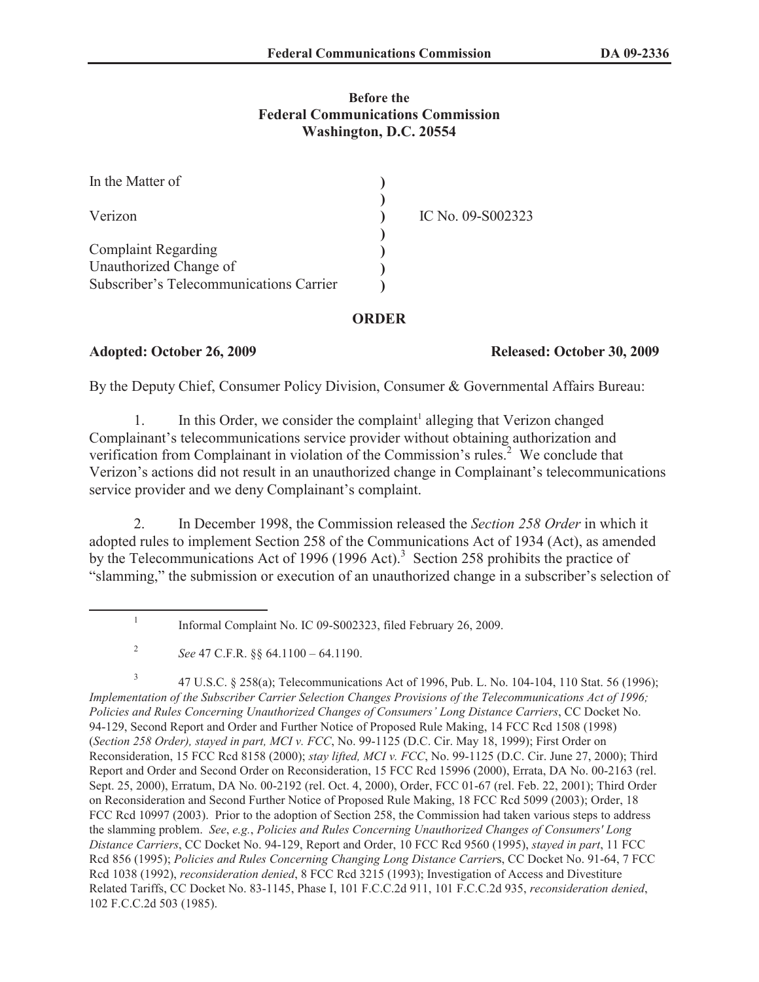## **Before the Federal Communications Commission Washington, D.C. 20554**

| In the Matter of                        |                   |
|-----------------------------------------|-------------------|
| Verizon                                 | IC No. 09-S002323 |
| <b>Complaint Regarding</b>              |                   |
| Unauthorized Change of                  |                   |
| Subscriber's Telecommunications Carrier |                   |

## **ORDER**

# **Adopted: October 26, 2009 Released: October 30, 2009**

By the Deputy Chief, Consumer Policy Division, Consumer & Governmental Affairs Bureau:

1. In this Order, we consider the complaint<sup>1</sup> alleging that Verizon changed Complainant's telecommunications service provider without obtaining authorization and verification from Complainant in violation of the Commission's rules.<sup>2</sup> We conclude that Verizon's actions did not result in an unauthorized change in Complainant's telecommunications service provider and we deny Complainant's complaint.

2. In December 1998, the Commission released the *Section 258 Order* in which it adopted rules to implement Section 258 of the Communications Act of 1934 (Act), as amended by the Telecommunications Act of 1996 (1996 Act).<sup>3</sup> Section 258 prohibits the practice of "slamming," the submission or execution of an unauthorized change in a subscriber's selection of

3 47 U.S.C. § 258(a); Telecommunications Act of 1996, Pub. L. No. 104-104, 110 Stat. 56 (1996); *Implementation of the Subscriber Carrier Selection Changes Provisions of the Telecommunications Act of 1996; Policies and Rules Concerning Unauthorized Changes of Consumers' Long Distance Carriers*, CC Docket No. 94-129, Second Report and Order and Further Notice of Proposed Rule Making, 14 FCC Rcd 1508 (1998) (*Section 258 Order), stayed in part, MCI v. FCC*, No. 99-1125 (D.C. Cir. May 18, 1999); First Order on Reconsideration, 15 FCC Rcd 8158 (2000); *stay lifted, MCI v. FCC*, No. 99-1125 (D.C. Cir. June 27, 2000); Third Report and Order and Second Order on Reconsideration, 15 FCC Rcd 15996 (2000), Errata, DA No. 00-2163 (rel. Sept. 25, 2000), Erratum, DA No. 00-2192 (rel. Oct. 4, 2000), Order, FCC 01-67 (rel. Feb. 22, 2001); Third Order on Reconsideration and Second Further Notice of Proposed Rule Making, 18 FCC Rcd 5099 (2003); Order, 18 FCC Rcd 10997 (2003). Prior to the adoption of Section 258, the Commission had taken various steps to address the slamming problem. *See*, *e.g.*, *Policies and Rules Concerning Unauthorized Changes of Consumers' Long Distance Carriers*, CC Docket No. 94-129, Report and Order, 10 FCC Rcd 9560 (1995), *stayed in part*, 11 FCC Rcd 856 (1995); *Policies and Rules Concerning Changing Long Distance Carrier*s, CC Docket No. 91-64, 7 FCC Rcd 1038 (1992), *reconsideration denied*, 8 FCC Rcd 3215 (1993); Investigation of Access and Divestiture Related Tariffs, CC Docket No. 83-1145, Phase I, 101 F.C.C.2d 911, 101 F.C.C.2d 935, *reconsideration denied*, 102 F.C.C.2d 503 (1985).

<sup>1</sup> Informal Complaint No. IC 09-S002323, filed February 26, 2009.

<sup>2</sup> *See* 47 C.F.R. §§ 64.1100 – 64.1190.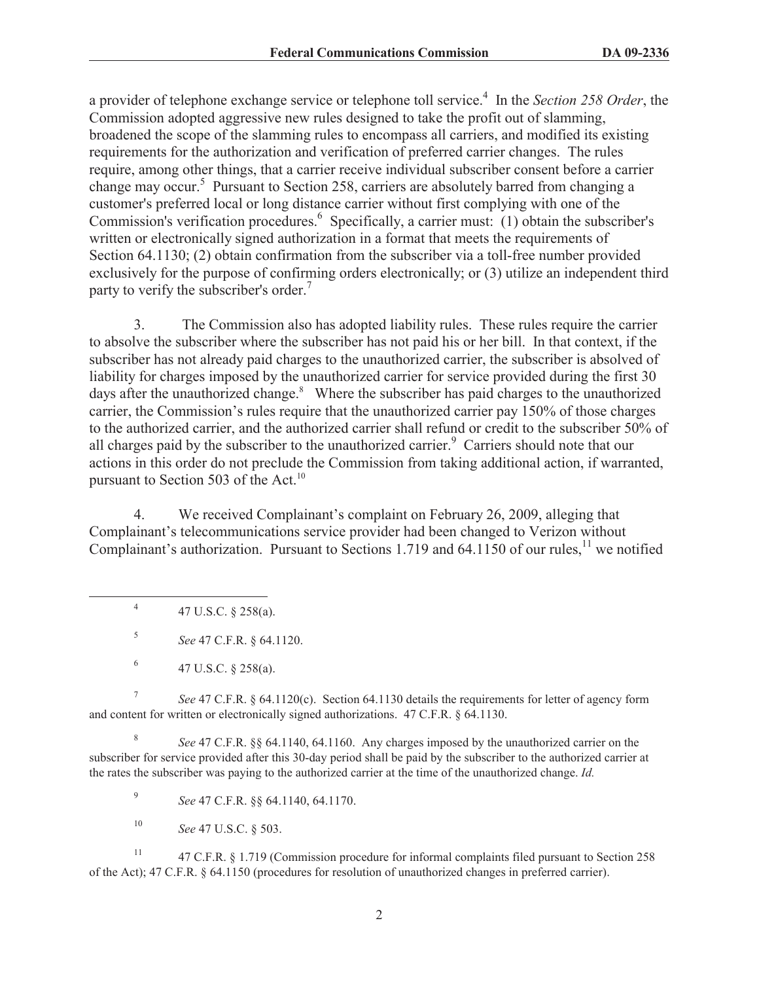a provider of telephone exchange service or telephone toll service.<sup>4</sup> In the *Section 258 Order*, the Commission adopted aggressive new rules designed to take the profit out of slamming, broadened the scope of the slamming rules to encompass all carriers, and modified its existing requirements for the authorization and verification of preferred carrier changes. The rules require, among other things, that a carrier receive individual subscriber consent before a carrier change may occur.<sup>5</sup> Pursuant to Section 258, carriers are absolutely barred from changing a customer's preferred local or long distance carrier without first complying with one of the Commission's verification procedures.<sup>6</sup> Specifically, a carrier must: (1) obtain the subscriber's written or electronically signed authorization in a format that meets the requirements of Section 64.1130; (2) obtain confirmation from the subscriber via a toll-free number provided exclusively for the purpose of confirming orders electronically; or (3) utilize an independent third party to verify the subscriber's order.<sup>7</sup>

3. The Commission also has adopted liability rules. These rules require the carrier to absolve the subscriber where the subscriber has not paid his or her bill. In that context, if the subscriber has not already paid charges to the unauthorized carrier, the subscriber is absolved of liability for charges imposed by the unauthorized carrier for service provided during the first 30 days after the unauthorized change.<sup>8</sup> Where the subscriber has paid charges to the unauthorized carrier, the Commission's rules require that the unauthorized carrier pay 150% of those charges to the authorized carrier, and the authorized carrier shall refund or credit to the subscriber 50% of all charges paid by the subscriber to the unauthorized carrier.<sup>9</sup> Carriers should note that our actions in this order do not preclude the Commission from taking additional action, if warranted, pursuant to Section 503 of the Act.<sup>10</sup>

4. We received Complainant's complaint on February 26, 2009, alleging that Complainant's telecommunications service provider had been changed to Verizon without Complainant's authorization. Pursuant to Sections 1.719 and 64.1150 of our rules,<sup>11</sup> we notified

4 47 U.S.C. § 258(a).

5 *See* 47 C.F.R. § 64.1120.

7 *See* 47 C.F.R. § 64.1120(c). Section 64.1130 details the requirements for letter of agency form and content for written or electronically signed authorizations. 47 C.F.R. § 64.1130.

8 *See* 47 C.F.R. §§ 64.1140, 64.1160. Any charges imposed by the unauthorized carrier on the subscriber for service provided after this 30-day period shall be paid by the subscriber to the authorized carrier at the rates the subscriber was paying to the authorized carrier at the time of the unauthorized change. *Id.*

9 *See* 47 C.F.R. §§ 64.1140, 64.1170.

<sup>10</sup> *See* 47 U.S.C. § 503.

<sup>11</sup> 47 C.F.R. § 1.719 (Commission procedure for informal complaints filed pursuant to Section 258 of the Act); 47 C.F.R. § 64.1150 (procedures for resolution of unauthorized changes in preferred carrier).

<sup>6</sup> 47 U.S.C. § 258(a).